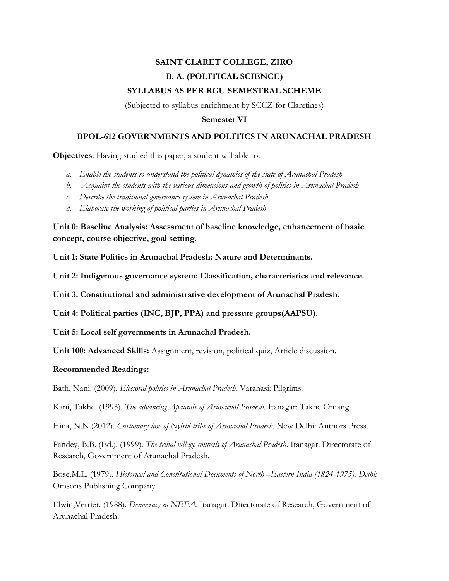## **SAINT CLARET COLLEGE, ZIRO B. A. (POLITICAL SCIENCE) SYLLABUS AS PER RGU SEMESTRAL SCHEME**

(Subjected to syllabus enrichment by SCCZ for Claretines)

## **Semester VI**

## **BPOL-612 GOVERNMENTS AND POLITICS IN ARUNACHAL PRADESH**

**Objectives**: Having studied this paper, a student will able to:

- *a. Enable the students to understand the political dynamics of the state of Arunachal Pradesh*
- *b. Acquaint the students with the various dimensions and growth of politics in Arunachal Pradesh*
- *c. Describe the traditional governance system in Arunachal Pradesh*
- *d. Elaborate the working of political parties in Arunachal Pradesh*

**Unit 0: Baseline Analysis: Assessment of baseline knowledge, enhancement of basic concept, course objective, goal setting.**

**Unit 1: State Politics in Arunachal Pradesh: Nature and Determinants.**

**Unit 2: Indigenous governance system: Classification, characteristics and relevance.**

**Unit 3: Constitutional and administrative development of Arunachal Pradesh.**

**Unit 4: Political parties (INC, BJP, PPA) and pressure groups(AAPSU).**

**Unit 5: Local self governments in Arunachal Pradesh.**

**Unit 100: Advanced Skills:** Assignment, revision, political quiz, Article discussion.

## **Recommended Readings:**

Bath, Nani. (2009). *Electoral politics in Arunachal Pradesh.* Varanasi: Pilgrims.

Kani, Takhe. (1993). *The advancing Apatanis of Arunachal Pradesh.* Itanagar: Takhe Omang.

Hina, N.N.(2012). *Customary law of Nyishi tribe of Arunachal Pradesh*. New Delhi: Authors Press.

Pandey, B.B. (Ed.). (1999). *The tribal village councils of Arunachal Pradesh*. Itanagar: Directorate of Research, Government of Arunachal Pradesh.

Bose, M.L. (1979). Historical and Constitutional Documents of North -*Eastern India* (1824-1975). Delhi: Omsons Publishing Company.

Elwin,Verrier. (1988). *Democracy in NEFA.* Itanagar: Directorate of Research, Government of Arunachal Pradesh.